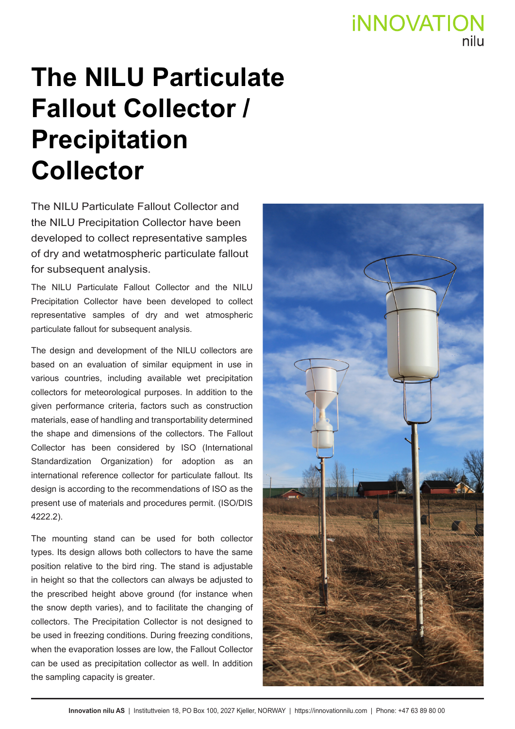# **iNNOVATION**

## **The NILU Particulate Fallout Collector / Precipitation Collector**

The NILU Particulate Fallout Collector and the NILU Precipitation Collector have been developed to collect representative samples of dry and wetatmospheric particulate fallout for subsequent analysis.

The NILU Particulate Fallout Collector and the NILU Precipitation Collector have been developed to collect representative samples of dry and wet atmospheric particulate fallout for subsequent analysis.

The design and development of the NILU collectors are based on an evaluation of similar equipment in use in various countries, including available wet precipitation collectors for meteorological purposes. In addition to the given performance criteria, factors such as construction materials, ease of handling and transportability determined the shape and dimensions of the collectors. The Fallout Collector has been considered by ISO (International Standardization Organization) for adoption as an international reference collector for particulate fallout. Its design is according to the recommendations of ISO as the present use of materials and procedures permit. (ISO/DIS 4222.2).

The mounting stand can be used for both collector types. Its design allows both collectors to have the same position relative to the bird ring. The stand is adjustable in height so that the collectors can always be adjusted to the prescribed height above ground (for instance when the snow depth varies), and to facilitate the changing of collectors. The Precipitation Collector is not designed to be used in freezing conditions. During freezing conditions, when the evaporation losses are low, the Fallout Collector can be used as precipitation collector as well. In addition the sampling capacity is greater.